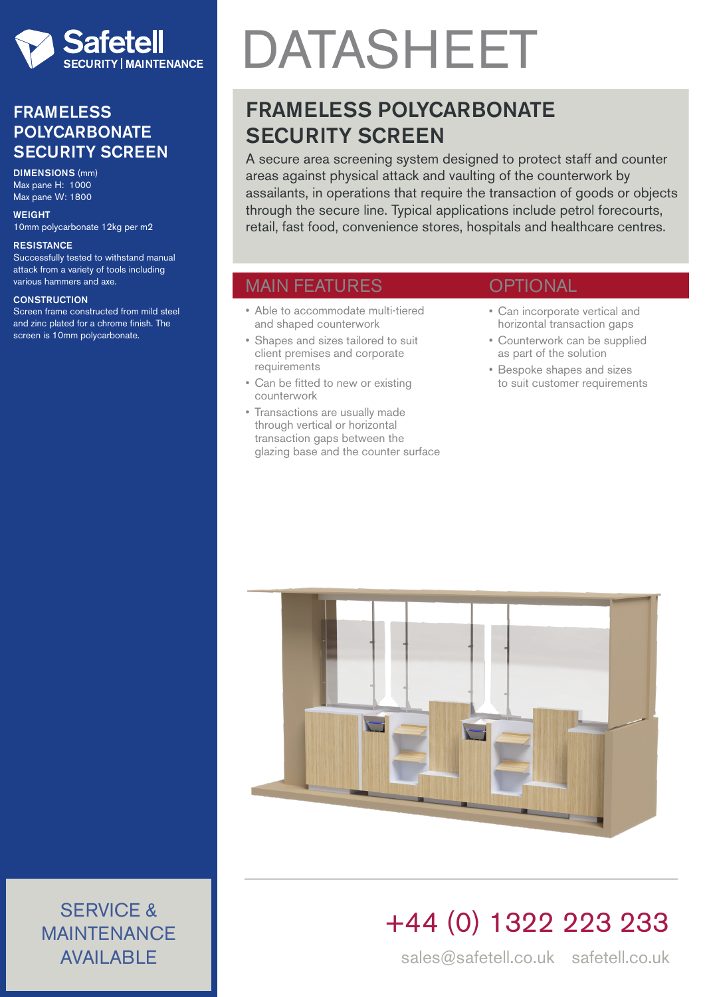

### FRAMELESS POLYCARBONATE SECURITY SCREEN

DIMENSIONS (mm) Max pane H: 1000 Max pane W: 1800

**WEIGHT** 10mm polycarbonate 12kg per m2

#### **RESISTANCE**

Successfully tested to withstand manual attack from a variety of tools including various hammers and axe.

#### **CONSTRUCTION**

Screen frame constructed from mild steel and zinc plated for a chrome finish. The screen is 10mm polycarbonate.

# DATASHEET

## FRAMELESS POLYCARBONATE **SECURITY SCREEN**

A secure area screening system designed to protect staff and counter areas against physical attack and vaulting of the counterwork by assailants, in operations that require the transaction of goods or objects through the secure line. Typical applications include petrol forecourts, retail, fast food, convenience stores, hospitals and healthcare centres.

### MAIN FEATURES

- Able to accommodate multi-tiered and shaped counterwork
- Shapes and sizes tailored to suit client premises and corporate requirements
- Can be fitted to new or existing counterwork
- Transactions are usually made through vertical or horizontal transaction gaps between the glazing base and the counter surface

### **OPTIONAL**

- Can incorporate vertical and horizontal transaction gaps
- Counterwork can be supplied as part of the solution
- Bespoke shapes and sizes to suit customer requirements



# +44 (0) 1322 223 233

sales@safetell.co.uk safetell.co.uk

SERVICE & MAINTENANCE AVAILABLE